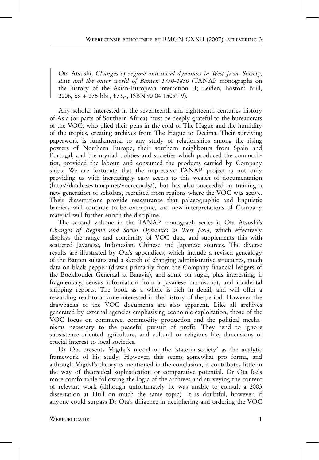Ota Atsushi, Changes of regime and social dynamics in West Java. Society, state and the outer world of Banten 1750-1830 (TANAP monographs on the history of the Asian-European interaction II; Leiden, Boston: Brill, 2006, xx + 275 blz., €73,-, ISBN 90 04 15091 9).

Any scholar interested in the seventeenth and eightteenth centuries history of Asia (or parts of Southern Africa) must be deeply grateful to the bureaucrats of the VOC, who plied their pens in the cold of The Hague and the humidity of the tropics, creating archives from The Hague to Decima. Their surviving paperwork is fundamental to any study of relationships among the rising powers of Northern Europe, their southern neighbours from Spain and Portugal, and the myriad polities and societies which produced the commodities, provided the labour, and consumed the products carried by Company ships. We are fortunate that the impressive TANAP project is not only providing us with increasingly easy access to this wealth of documentation (http://databases.tanap.net/vocrecords/), but has also succeeded in training a new generation of scholars, recruited from regions where the VOC was active. Their dissertations provide reassurance that palaeographic and linguistic barriers will continue to be overcome, and new interpretations of Company material will further enrich the discipline.

The second volume in the TANAP monograph series is Ota Atsushi's Changes of Regime and Social Dynamics in West Java, which effectively displays the range and continuity of VOC data, and supplements this with scattered Javanese, Indonesian, Chinese and Japanese sources. The diverse results are illustrated by Ota's appendices, which include a revised genealogy of the Banten sultans and a sketch of changing administrative structures, much data on black pepper (drawn primarily from the Company financial ledgers of the Boekhouder-Generaal at Batavia), and some on sugar, plus interesting, if fragmentary, census information from a Javanese manuscript, and incidental shipping reports. The book as a whole is rich in detail, and will offer a rewarding read to anyone interested in the history of the period. However, the drawbacks of the VOC documents are also apparent. Like all archives generated by external agencies emphasising economic exploitation, those of the VOC focus on commerce, commodity production and the political mechanisms necessary to the peaceful pursuit of profit. They tend to ignore subsistence-oriented agriculture, and cultural or religious life, dimensions of crucial interest to local societies.

Dr Ota presents Migdal's model of the 'state-in-society' as the analytic framework of his study. However, this seems somewhat pro forma, and although Migdal's theory is mentioned in the conclusion, it contributes little in the way of theoretical sophistication or comparative potential. Dr Ota feels more comfortable following the logic of the archives and surveying the content of relevant work (although unfortunately he was unable to consult a 2003 dissertation at Hull on much the same topic). It is doubtful, however, if anyone could surpass Dr Ota's diligence in deciphering and ordering the VOC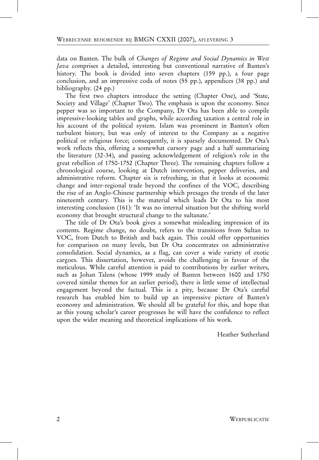data on Banten. The bulk of Changes of Regime and Social Dynamics in West Java comprises a detailed, interesting but conventional narrative of Banten's history. The book is divided into seven chapters (159 pp.), a four page conclusion, and an impressive coda of notes (55 pp.), appendices (38 pp.) and bibliography. (24 pp.)

The first two chapters introduce the setting (Chapter One), and 'State, Society and Village' (Chapter Two). The emphasis is upon the economy. Since pepper was so important to the Company, Dr Ota has been able to compile impressive-looking tables and graphs, while according taxation a central role in his account of the political system. Islam was prominent in Banten's often turbulent history, but was only of interest to the Company as a negative political or religious force; consequently, it is sparsely documented. Dr Ota's work reflects this, offering a somewhat cursory page and a half summarising the literature (32-34), and passing acknowledgement of religion's role in the great rebellion of 1750-1752 (Chapter Three). The remaining chapters follow a chronological course, looking at Dutch intervention, pepper deliveries, and administrative reform. Chapter six is refreshing, in that it looks at economic change and inter-regional trade beyond the confines of the VOC, describing the rise of an Anglo-Chinese partnership which presages the trends of the later nineteenth century. This is the material which leads Dr Ota to his most interesting conclusion (161): 'It was no internal situation but the shifting world economy that brought structural change to the sultanate.'

The title of Dr Ota's book gives a somewhat misleading impression of its contents. Regime change, no doubt, refers to the transitions from Sultan to VOC, from Dutch to British and back again. This could offer opportunities for comparison on many levels, but Dr Ota concentrates on administrative consolidation. Social dynamics, as a flag, can cover a wide variety of exotic cargoes. This dissertation, however, avoids the challenging in favour of the meticulous. While careful attention is paid to contributions by earlier writers, such as Johan Talens (whose 1999 study of Banten between 1600 and 1750 covered similar themes for an earlier period), there is little sense of intellectual engagement beyond the factual. This is a pity, because Dr Ota's careful research has enabled him to build up an impressive picture of Banten's economy and administration. We should all be grateful for this, and hope that as this young scholar's career progresses he will have the confidence to reflect upon the wider meaning and theoretical implications of his work.

Heather Sutherland